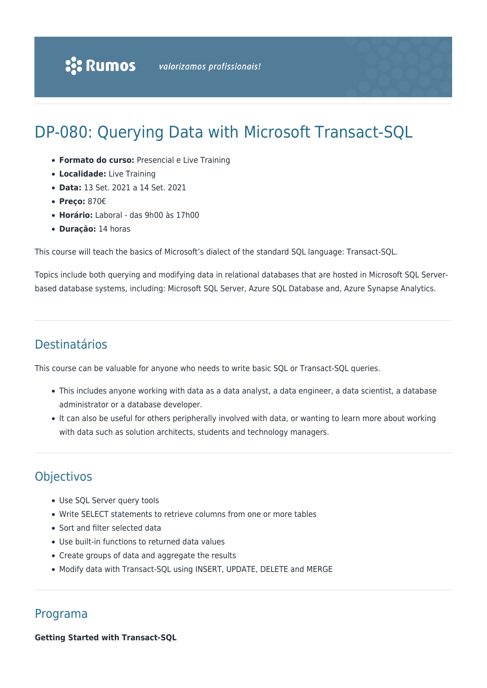# DP-080: Querying Data with Microsoft Transact-SQL

- **Formato do curso:** Presencial e Live Training
- **Localidade:** Live Training
- **Data:** 13 Set. 2021 a 14 Set. 2021
- **Preço:** 870€
- **Horário:** Laboral das 9h00 às 17h00
- **Duração:** 14 horas

This course will teach the basics of Microsoft's dialect of the standard SQL language: Transact-SQL.

Topics include both querying and modifying data in relational databases that are hosted in Microsoft SQL Serverbased database systems, including: Microsoft SQL Server, Azure SQL Database and, Azure Synapse Analytics.

# Destinatários

This course can be valuable for anyone who needs to write basic SQL or Transact-SQL queries.

- This includes anyone working with data as a data analyst, a data engineer, a data scientist, a database administrator or a database developer.
- It can also be useful for others peripherally involved with data, or wanting to learn more about working with data such as solution architects, students and technology managers.

# **Objectivos**

- Use SQL Server query tools
- Write SELECT statements to retrieve columns from one or more tables
- Sort and filter selected data
- Use built-in functions to returned data values
- Create groups of data and aggregate the results
- Modify data with Transact-SQL using INSERT, UPDATE, DELETE and MERGE

# Programa

**Getting Started with Transact-SQL**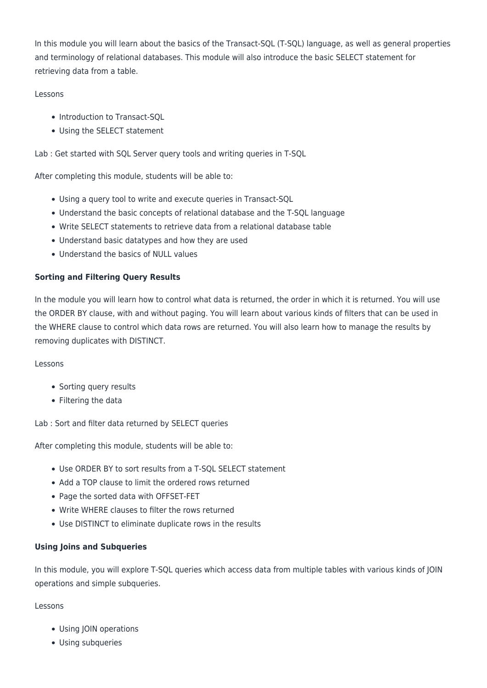In this module you will learn about the basics of the Transact-SQL (T-SQL) language, as well as general properties and terminology of relational databases. This module will also introduce the basic SELECT statement for retrieving data from a table.

# Lessons

- Introduction to Transact-SQL
- Using the SELECT statement

Lab : Get started with SQL Server query tools and writing queries in T-SQL

After completing this module, students will be able to:

- Using a query tool to write and execute queries in Transact-SQL
- Understand the basic concepts of relational database and the T-SQL language
- Write SELECT statements to retrieve data from a relational database table
- Understand basic datatypes and how they are used
- Understand the basics of NULL values

# **Sorting and Filtering Query Results**

In the module you will learn how to control what data is returned, the order in which it is returned. You will use the ORDER BY clause, with and without paging. You will learn about various kinds of filters that can be used in the WHERE clause to control which data rows are returned. You will also learn how to manage the results by removing duplicates with DISTINCT.

# Lessons

- Sorting query results
- Filtering the data

Lab : Sort and filter data returned by SELECT queries

After completing this module, students will be able to:

- Use ORDER BY to sort results from a T-SQL SELECT statement
- Add a TOP clause to limit the ordered rows returned
- Page the sorted data with OFFSET-FET
- Write WHERE clauses to filter the rows returned
- Use DISTINCT to eliminate duplicate rows in the results

# **Using Joins and Subqueries**

In this module, you will explore T-SQL queries which access data from multiple tables with various kinds of JOIN operations and simple subqueries.

# Lessons

- Using JOIN operations
- Using subqueries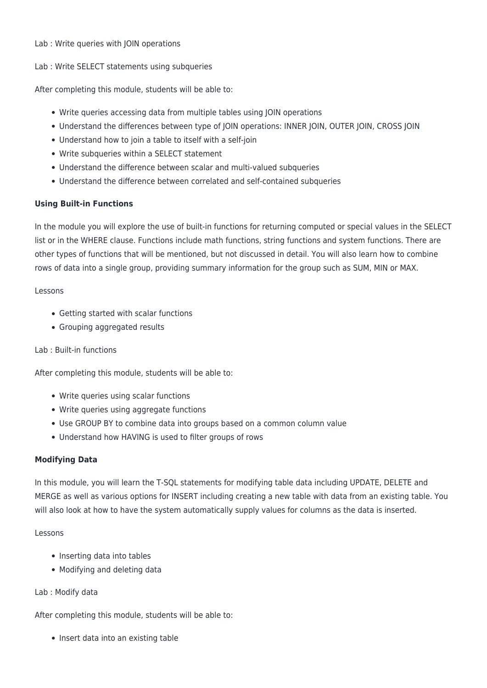#### Lab : Write queries with JOIN operations

### Lab : Write SELECT statements using subqueries

After completing this module, students will be able to:

- Write queries accessing data from multiple tables using JOIN operations
- Understand the differences between type of JOIN operations: INNER JOIN, OUTER JOIN, CROSS JOIN
- Understand how to join a table to itself with a self-join
- Write subqueries within a SELECT statement
- Understand the difference between scalar and multi-valued subqueries
- Understand the difference between correlated and self-contained subqueries

# **Using Built-in Functions**

In the module you will explore the use of built-in functions for returning computed or special values in the SELECT list or in the WHERE clause. Functions include math functions, string functions and system functions. There are other types of functions that will be mentioned, but not discussed in detail. You will also learn how to combine rows of data into a single group, providing summary information for the group such as SUM, MIN or MAX.

#### Lessons

- Getting started with scalar functions
- Grouping aggregated results

# Lab : Built-in functions

After completing this module, students will be able to:

- Write queries using scalar functions
- Write queries using aggregate functions
- Use GROUP BY to combine data into groups based on a common column value
- Understand how HAVING is used to filter groups of rows

# **Modifying Data**

In this module, you will learn the T-SQL statements for modifying table data including UPDATE, DELETE and MERGE as well as various options for INSERT including creating a new table with data from an existing table. You will also look at how to have the system automatically supply values for columns as the data is inserted.

#### Lessons

- Inserting data into tables
- Modifying and deleting data

#### Lab : Modify data

After completing this module, students will be able to:

• Insert data into an existing table